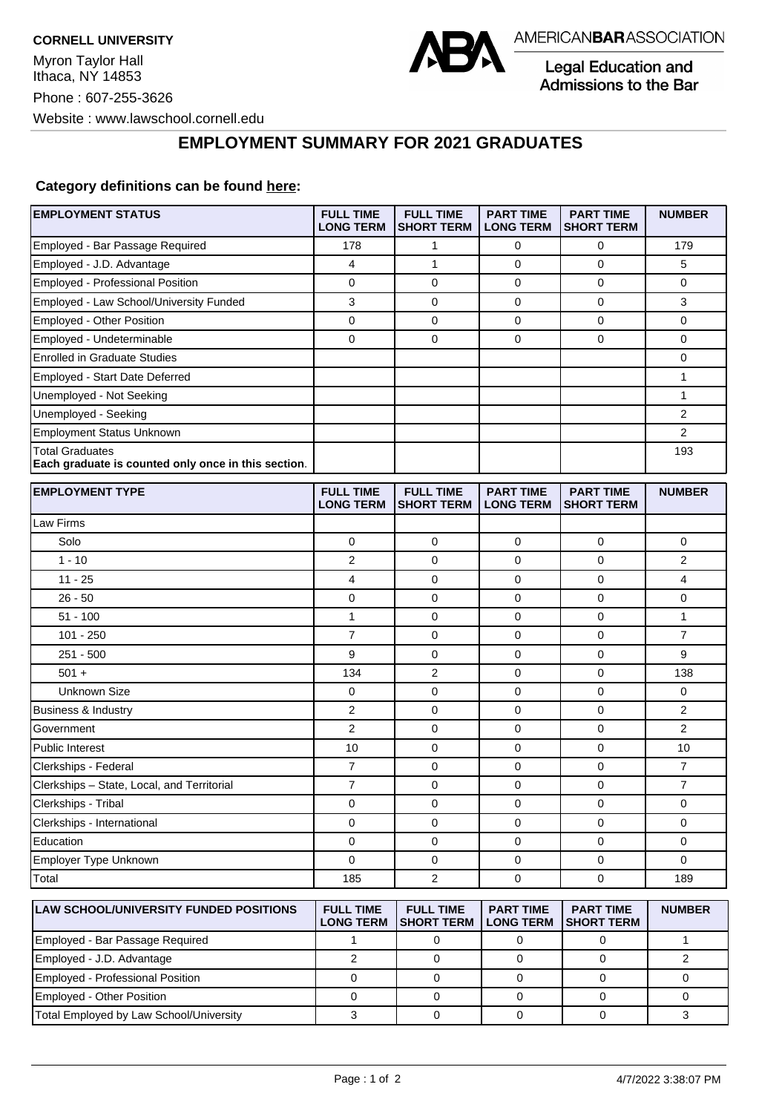

Legal Education and Admissions to the Bar

## **EMPLOYMENT SUMMARY FOR 2021 GRADUATES**

## **Category definitions can be found [here:](https://www.americanbar.org/content/dam/aba/administrative/legal_education_and_admissions_to_the_bar/Questionnaires/2021/2022-employment-protocols-for-the-class-of-2021-september-2021.pdf)**

| <b>EMPLOYMENT STATUS</b>                                                      | <b>FULL TIME</b><br><b>LONG TERM</b> | <b>FULL TIME</b><br><b>SHORT TERM</b> | <b>PART TIME</b><br><b>LONG TERM</b> | <b>PART TIME</b><br><b>SHORT TERM</b> | <b>NUMBER</b>  |
|-------------------------------------------------------------------------------|--------------------------------------|---------------------------------------|--------------------------------------|---------------------------------------|----------------|
| Employed - Bar Passage Required                                               | 178                                  | 1                                     | 0                                    | 0                                     | 179            |
| Employed - J.D. Advantage                                                     | 4                                    | $\mathbf{1}$                          | 0                                    | 0                                     | 5              |
| Employed - Professional Position                                              | 0                                    | $\mathbf 0$                           | 0                                    | $\mathbf 0$                           | 0              |
| Employed - Law School/University Funded                                       | 3                                    | 0                                     | 0                                    | 0                                     | 3              |
| Employed - Other Position                                                     | 0                                    | 0                                     | 0                                    | $\mathbf 0$                           | 0              |
| Employed - Undeterminable                                                     | 0                                    | $\mathbf 0$                           | 0                                    | $\mathbf 0$                           | 0              |
| <b>Enrolled in Graduate Studies</b>                                           |                                      |                                       |                                      |                                       | 0              |
| Employed - Start Date Deferred                                                |                                      |                                       |                                      |                                       | 1              |
| Unemployed - Not Seeking                                                      |                                      |                                       |                                      |                                       | $\mathbf{1}$   |
| Unemployed - Seeking                                                          |                                      |                                       |                                      |                                       | $\overline{2}$ |
| <b>Employment Status Unknown</b>                                              |                                      |                                       |                                      |                                       | $\overline{2}$ |
| <b>Total Graduates</b><br>Each graduate is counted only once in this section. |                                      |                                       |                                      |                                       | 193            |
| <b>EMPLOYMENT TYPE</b>                                                        | <b>FULL TIME</b><br><b>LONG TERM</b> | <b>FULL TIME</b><br><b>SHORT TERM</b> | <b>PART TIME</b><br><b>LONG TERM</b> | <b>PART TIME</b><br><b>SHORT TERM</b> | <b>NUMBER</b>  |
| Law Firms                                                                     |                                      |                                       |                                      |                                       |                |
| Solo                                                                          | 0                                    | 0                                     | 0                                    | 0                                     | 0              |
| $1 - 10$                                                                      | 2                                    | $\mathbf 0$                           | 0                                    | $\mathbf 0$                           | 2              |
| $11 - 25$                                                                     | 4                                    | $\mathbf 0$                           | 0                                    | $\mathbf 0$                           | 4              |
| $26 - 50$                                                                     | 0                                    | $\mathbf 0$                           | 0                                    | 0                                     | 0              |
| $51 - 100$                                                                    | $\mathbf{1}$                         | 0                                     | 0                                    | $\mathbf 0$                           | $\mathbf{1}$   |
| $101 - 250$                                                                   | 7                                    | 0                                     | 0                                    | 0                                     | $\overline{7}$ |
| $251 - 500$                                                                   | 9                                    | $\mathbf 0$                           | 0                                    | $\mathbf 0$                           | 9              |
| $501 +$                                                                       | 134                                  | 2                                     | 0                                    | $\mathbf 0$                           | 138            |
| <b>Unknown Size</b>                                                           | 0                                    | 0                                     | 0                                    | $\mathbf 0$                           | 0              |
| Business & Industry                                                           | 2                                    | 0                                     | 0                                    | 0                                     | 2              |
| Government                                                                    | 2                                    | 0                                     | 0                                    | $\mathbf 0$                           | $\overline{2}$ |
| <b>Public Interest</b>                                                        | 10                                   | $\mathbf 0$                           | 0                                    | $\mathbf 0$                           | 10             |
| Clerkships - Federal                                                          | 7                                    | $\mathbf 0$                           | 0                                    | 0                                     | 7              |
| Clerkships - State, Local, and Territorial                                    | 7                                    | $\mathbf 0$                           | 0                                    | $\mathbf 0$                           | $\overline{7}$ |
| Clerkships - Tribal                                                           | 0                                    | 0                                     | 0                                    | 0                                     | 0              |
| Clerkships - International                                                    | 0                                    | $\mathbf 0$                           | 0                                    | $\mathbf 0$                           | 0              |
| Education                                                                     | 0                                    | 0                                     | 0                                    | 0                                     | 0              |
| Employer Type Unknown                                                         | 0                                    | 0                                     | 0                                    | 0                                     | $\mathbf 0$    |
| Total                                                                         | 185                                  | $\overline{c}$                        | 0                                    | $\mathbf 0$                           | 189            |
|                                                                               |                                      |                                       |                                      |                                       |                |
| <b>LAW SCHOOL/UNIVERSITY FUNDED POSITIONS</b>                                 | <b>FULL TIME</b><br><b>LONG TERM</b> | <b>FULL TIME</b><br><b>SHORT TERM</b> | <b>PART TIME</b><br><b>LONG TERM</b> | <b>PART TIME</b><br><b>SHORT TERM</b> | <b>NUMBER</b>  |
| Employed - Bar Passage Required                                               | $\mathbf{1}$                         | $\pmb{0}$                             | $\pmb{0}$                            | $\mathsf 0$                           | $\mathbf{1}$   |

Employed - J.D. Advantage 2 0 0 0 2 Employed - Professional Position 0 0 0 0 0 Employed - Other Position 0 0 0 0 0 Total Employed by Law School/University 3 0 0 0 3